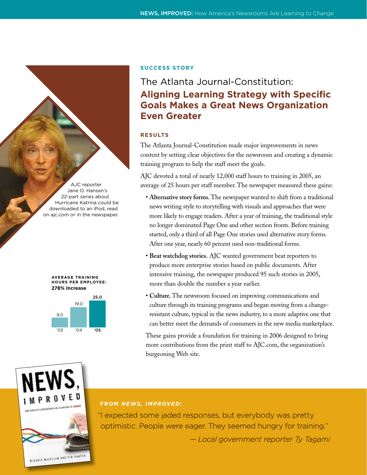AJC reporter Jane O. Hansen's 22-part series about Hurricane Katrina could be downloaded to an iPod, read on ajc.com or in the newspaper.





#### **Success Story**

# The Atlanta Journal-Constitution: **Aligning Learning Strategy with Specific Goals Makes a Great News Organization Even Greater**

## **RESULTS**

The Atlanta Journal-Constitution made major improvements in news content by setting clear objectives for the newsroom and creating a dynamic training program to help the staff meet the goals.

AJC devoted a total of nearly 12,000 staff hours to training in 2005, an average of 25 hours per staff member. The newspaper measured these gains:

- **Alternative story forms.** The newspaper wanted to shift from a traditional news writing style to storytelling with visuals and approaches that were more likely to engage readers. After a year of training, the traditional style no longer dominated Page One and other section fronts. Before training started, only a third of all Page One stories used alternative story forms. After one year, nearly 60 percent used non-traditional forms.
- **Beat watchdog stories.** AJC wanted government beat reporters to produce more enterprise stories based on public documents. After intensive training, the newspaper produced 95 such stories in 2005, more than double the number a year earlier.
- **Culture.** The newsroom focused on improving communications and culture through its training programs and began moving from a changeresistant culture, typical in the news industry, to a more adaptive one that can better meet the demands of consumers in the new media marketplace.

These gains provide a foundation for training in 2006 designed to bring more contributions from the print staff to AJC.com, the organization's burgeoning Web site.



# **FROM** *NEWS, IMPROVED***:**

"I expected some jaded responses, but everybody was pretty optimistic. People were eager. They seemed hungry for training."

*— Local government reporter Ty Tagami*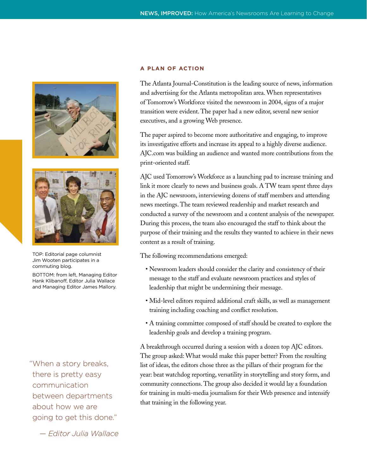



TOP: Editorial page columnist Jim Wooten participates in a commuting blog.

BOTTOM: from left, Managing Editor Hank Klibanoff, Editor Julia Wallace and Managing Editor James Mallory.

"When a story breaks, there is pretty easy communication between departments about how we are going to get this done."

*— Editor Julia Wallace*

#### **A PLAN OF ACTION**

The Atlanta Journal-Constitution is the leading source of news, information and advertising for the Atlanta metropolitan area. When representatives of Tomorrow's Workforce visited the newsroom in 2004, signs of a major transition were evident. The paper had a new editor, several new senior executives, and a growing Web presence.

The paper aspired to become more authoritative and engaging, to improve its investigative efforts and increase its appeal to a highly diverse audience. AJC.com was building an audience and wanted more contributions from the print-oriented staff.

AJC used Tomorrow's Workforce as a launching pad to increase training and link it more clearly to news and business goals. A TW team spent three days in the AJC newsroom, interviewing dozens of staff members and attending news meetings. The team reviewed readership and market research and conducted a survey of the newsroom and a content analysis of the newspaper. During this process, the team also encouraged the staff to think about the purpose of their training and the results they wanted to achieve in their news content as a result of training.

The following recommendations emerged:

- Newsroom leaders should consider the clarity and consistency of their message to the staff and evaluate newsroom practices and styles of leadership that might be undermining their message.
- Mid-level editors required additional craft skills, as well as management training including coaching and conflict resolution.
- A training committee composed of staff should be created to explore the leadership goals and develop a training program.

A breakthrough occurred during a session with a dozen top AJC editors. The group asked: What would make this paper better? From the resulting list of ideas, the editors chose three as the pillars of their program for the year: beat watchdog reporting, versatility in storytelling and story form, and community connections. The group also decided it would lay a foundation for training in multi-media journalism for their Web presence and intensify that training in the following year.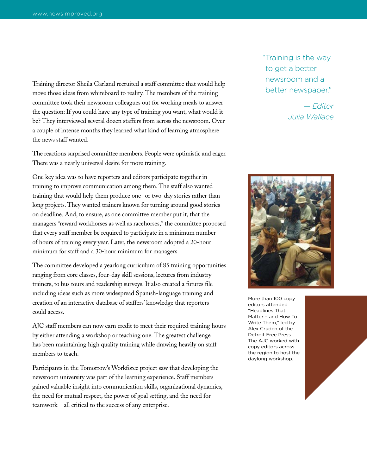Training director Sheila Garland recruited a staff committee that would help move those ideas from whiteboard to reality. The members of the training committee took their newsroom colleagues out for working meals to answer the question: If you could have any type of training you want, what would it be? They interviewed several dozen staffers from across the newsroom. Over a couple of intense months they learned what kind of learning atmosphere the news staff wanted.

The reactions surprised committee members. People were optimistic and eager. There was a nearly universal desire for more training.

One key idea was to have reporters and editors participate together in training to improve communication among them. The staff also wanted training that would help them produce one- or two-day stories rather than long projects. They wanted trainers known for turning around good stories on deadline. And, to ensure, as one committee member put it, that the managers "reward workhorses as well as racehorses," the committee proposed that every staff member be required to participate in a minimum number of hours of training every year. Later, the newsroom adopted a 20-hour minimum for staff and a 30-hour minimum for managers.

The committee developed a yearlong curriculum of 85 training opportunities ranging from core classes, four-day skill sessions, lectures from industry trainers, to bus tours and readership surveys. It also created a futures file including ideas such as more widespread Spanish-language training and creation of an interactive database of staffers' knowledge that reporters could access.

AJC staff members can now earn credit to meet their required training hours by either attending a workshop or teaching one. The greatest challenge has been maintaining high quality training while drawing heavily on staff members to teach.

Participants in the Tomorrow's Workforce project saw that developing the newsroom university was part of the learning experience. Staff members gained valuable insight into communication skills, organizational dynamics, the need for mutual respect, the power of goal setting, and the need for teamwork – all critical to the success of any enterprise.

"Training is the way to get a better newsroom and a better newspaper."

> *— Editor Julia Wallace*



More than 100 copy editors attended "Headlines That Matter – and How To Write Them," led by Alex Cruden of the Detroit Free Press. The AJC worked with copy editors across the region to host the daylong workshop.